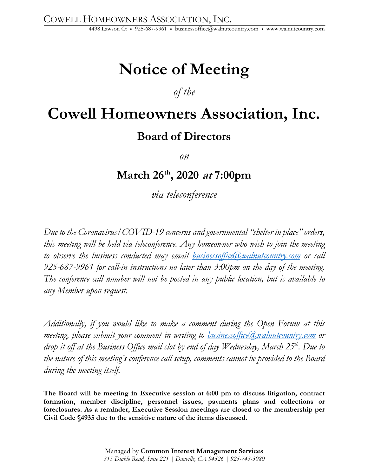4498 Lawson Ct • 925-687-9961 • businessoffice@walnutcountry.com • www.walnutcountry.com

## **Notice of Meeting**

### *of the*

### **Cowell Homeowners Association, Inc. Board of Directors**

*on*

**March 26th, 2020 at 7:00pm**

*via teleconference*

*Due to the Coronavirus/COVID-19 concerns and governmental "shelter in place" orders, this meeting will be held via teleconference. Any homeowner who wish to join the meeting to observe the business conducted may email businessoffice@walnutcountry.com or call 925-687-9961 for call-in instructions no later than 3:00pm on the day of the meeting. The conference call number will not be posted in any public location, but is available to any Member upon request.*

*Additionally, if you would like to make a comment during the Open Forum at this meeting, please submit your comment in writing to businessoffice@walnutcountry.com or drop it off at the Business Office mail slot by end of day Wednesday, March 25th. Due to the nature of this meeting's conference call setup, comments cannot be provided to the Board during the meeting itself.* 

**The Board will be meeting in Executive session at 6:00 pm to discuss litigation, contract formation, member discipline, personnel issues, payments plans and collections or foreclosures. As a reminder, Executive Session meetings are closed to the membership per Civil Code §4935 due to the sensitive nature of the items discussed.**